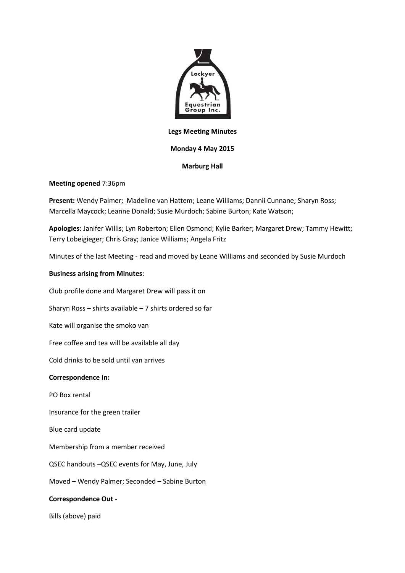

### **Legs Meeting Minutes**

# **Monday 4 May 2015**

# **Marburg Hall**

### **Meeting opened** 7:36pm

**Present:** Wendy Palmer; Madeline van Hattem; Leane Williams; Dannii Cunnane; Sharyn Ross; Marcella Maycock; Leanne Donald; Susie Murdoch; Sabine Burton; Kate Watson;

**Apologies**: Janifer Willis; Lyn Roberton; Ellen Osmond; Kylie Barker; Margaret Drew; Tammy Hewitt; Terry Lobeigieger; Chris Gray; Janice Williams; Angela Fritz

Minutes of the last Meeting - read and moved by Leane Williams and seconded by Susie Murdoch

# **Business arising from Minutes**:

Club profile done and Margaret Drew will pass it on

Sharyn Ross – shirts available – 7 shirts ordered so far

Kate will organise the smoko van

Free coffee and tea will be available all day

Cold drinks to be sold until van arrives

### **Correspondence In:**

PO Box rental

Insurance for the green trailer

Blue card update

Membership from a member received

QSEC handouts –QSEC events for May, June, July

Moved – Wendy Palmer; Seconded – Sabine Burton

### **Correspondence Out -**

Bills (above) paid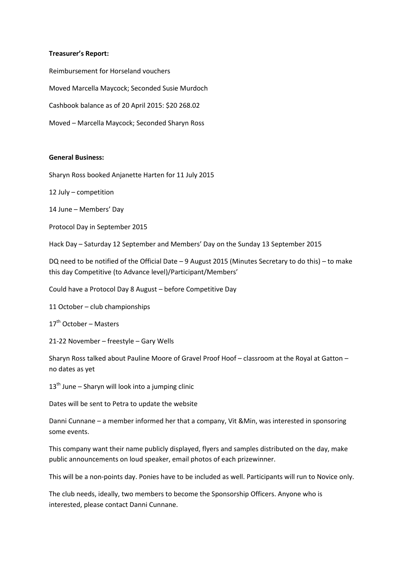#### **Treasurer's Report:**

Reimbursement for Horseland vouchers Moved Marcella Maycock; Seconded Susie Murdoch Cashbook balance as of 20 April 2015: \$20 268.02 Moved – Marcella Maycock; Seconded Sharyn Ross

### **General Business:**

Sharyn Ross booked Anjanette Harten for 11 July 2015

12 July – competition

14 June – Members' Day

Protocol Day in September 2015

Hack Day – Saturday 12 September and Members' Day on the Sunday 13 September 2015

DQ need to be notified of the Official Date – 9 August 2015 (Minutes Secretary to do this) – to make this day Competitive (to Advance level)/Participant/Members'

Could have a Protocol Day 8 August – before Competitive Day

11 October – club championships

 $17<sup>th</sup>$  October – Masters

21-22 November – freestyle – Gary Wells

Sharyn Ross talked about Pauline Moore of Gravel Proof Hoof – classroom at the Royal at Gatton – no dates as yet

 $13<sup>th</sup>$  June – Sharyn will look into a jumping clinic

Dates will be sent to Petra to update the website

Danni Cunnane – a member informed her that a company, Vit &Min, was interested in sponsoring some events.

This company want their name publicly displayed, flyers and samples distributed on the day, make public announcements on loud speaker, email photos of each prizewinner.

This will be a non-points day. Ponies have to be included as well. Participants will run to Novice only.

The club needs, ideally, two members to become the Sponsorship Officers. Anyone who is interested, please contact Danni Cunnane.